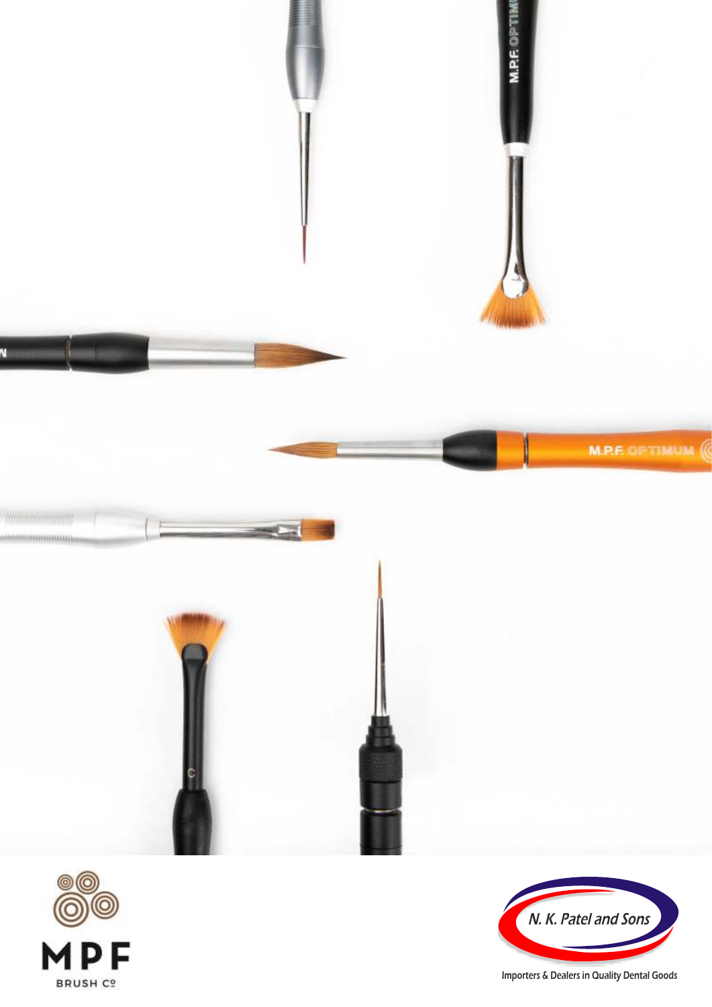





Importers & Dealers in Quality Dental Goods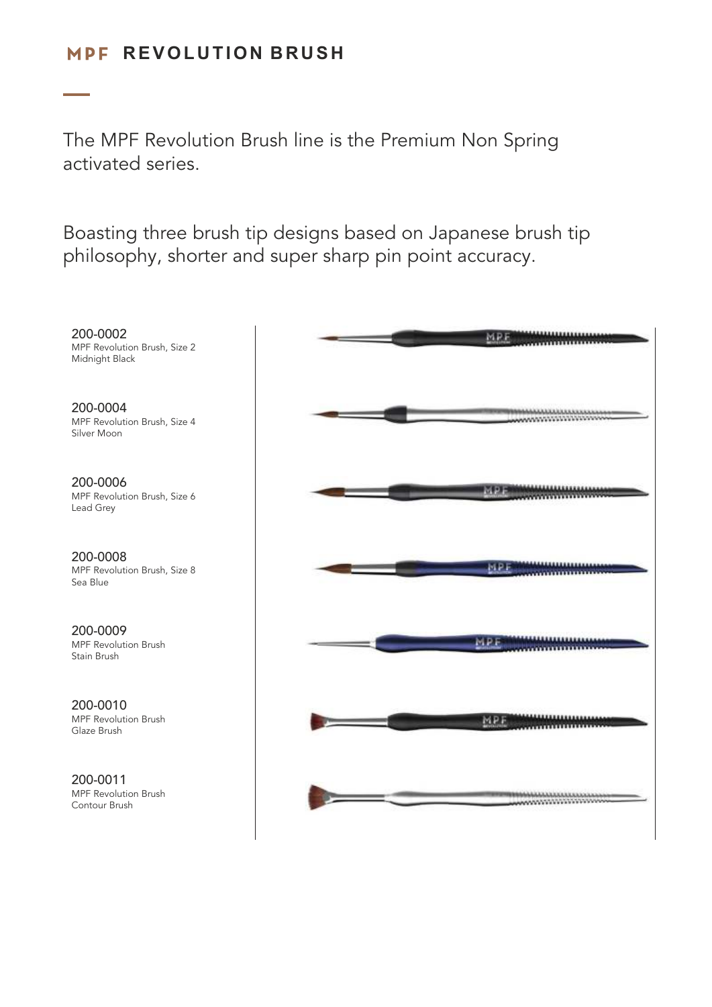## $MPF$  REVOLUTION BRUSH

The MPF Revolution Brush line is the Premium Non Spring activated series.

Boasting three brush tip designs based on Japanese brush tip philosophy, shorter and super sharp pin point accuracy.

200-0002 MPF Revolution Brush, Size 2 Midnight Black 200-0004 **MAANANANANANANANAN** MPF Revolution Brush, Size 4 Silver Moon200-0006 AAAAAAAAAAAAAAA MPF MPF Revolution Brush, Size 6 Lead Grey 200-0008 **THE PROGRAMMENT CONTROL** MPF Revolution Brush, Size 8 Sea Blue 200-0009 \*\*\*\*\*\*\*\*\*\*\*\*\*\*\* MRE MPF Revolution Brush Stain Brush 200-0010 MPF Revolution Brush MPI Glaze Brush 200-0011 MPF Revolution Brush **MAANAANAANAANAAN** Contour Brush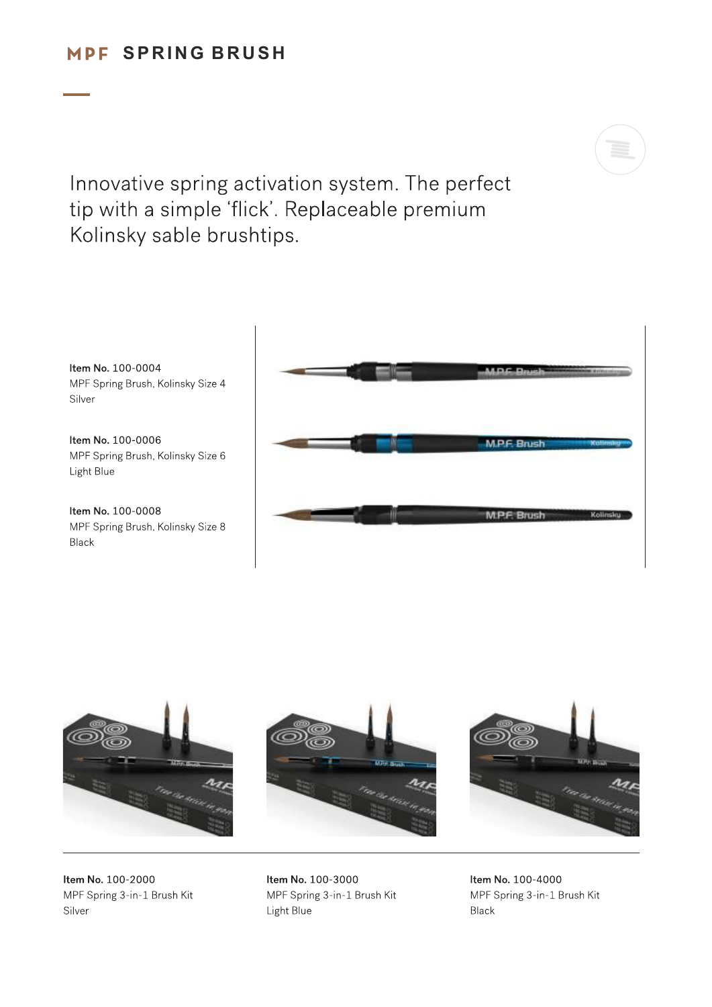## MPF SPRING BRUSH



Innovative spring activation system. The perfect tip with a simple 'flick'. Replaceable premium Kolinsky sable brushtips.

Item No. 100-0004 MPF Spring Brush, Kolinsky Size 4 Silver

Item No. 100-0006 MPF Spring Brush, Kolinsky Size 6 Light Blue

Item No. 100-0008 MPF Spring Brush, Kolinsky Size 8 Black





Item No. 100-2000 MPF Spring 3-in-1 Brush Kit Silver

Item No. 100-3000 MPF Spring 3-in-1 Brush Kit Light Blue

Item No. 100-4000 MPF Spring 3-in-1 Brush Kit Black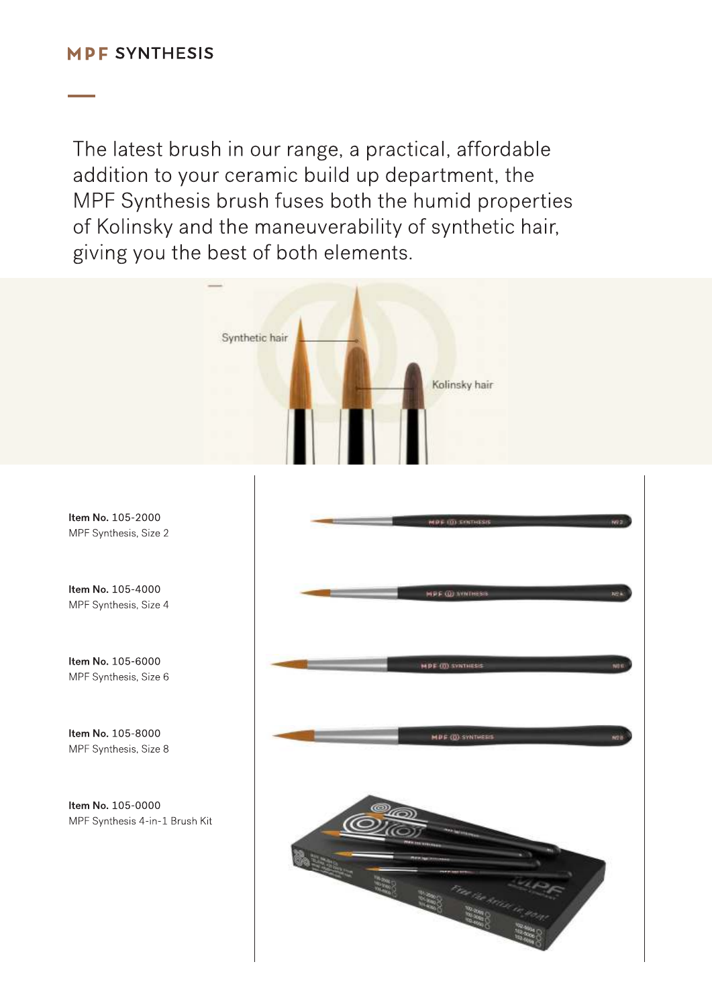The latest brush in our range, a practical, affordable addition to your ceramic build up department, the MPF Synthesis brush fuses both the humid properties of Kolinsky and the maneuverability of synthetic hair, giving you the best of both elements.

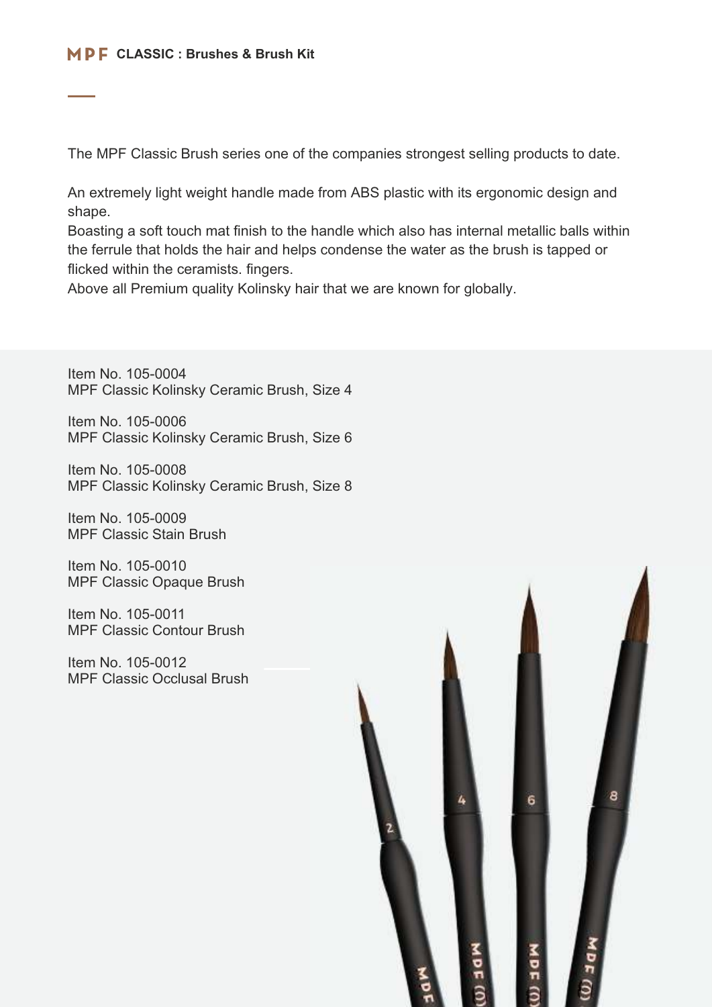The MPF Classic Brush series one of the companies strongest selling products to date.

An extremely light weight handle made from ABS plastic with its ergonomic design and shape.

Boasting a soft touch mat finish to the handle which also has internal metallic balls within the ferrule that holds the hair and helps condense the water as the brush is tapped or flicked within the ceramists. fingers.

Above all Premium quality Kolinsky hair that we are known for globally.

Item No. 105-0004 MPF Classic Kolinsky Ceramic Brush, Size 4

Item No. 105-0006 MPF Classic Kolinsky Ceramic Brush, Size 6

Item No. 105-0008 MPF Classic Kolinsky Ceramic Brush, Size 8

Item No. 105-0009 MPF Classic Stain Brush

Item No. 105-0010 MPF Classic Opaque Brush

Item No. 105-0011 MPF Classic Contour Brush

Item No. 105-0012 MPF Classic Occlusal Brush